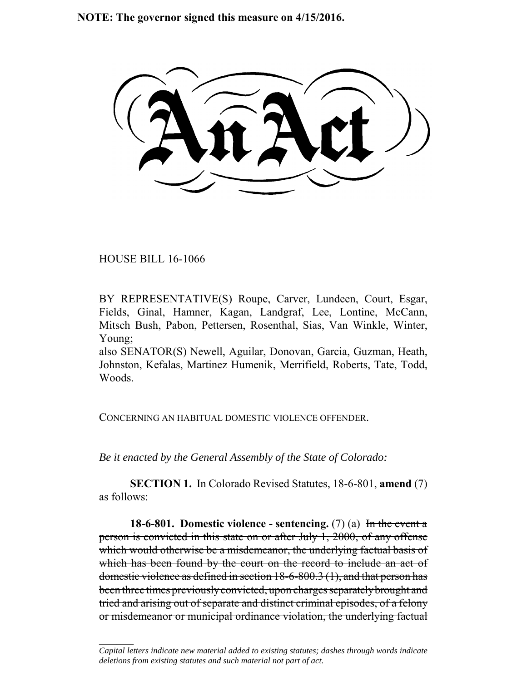**NOTE: The governor signed this measure on 4/15/2016.**

HOUSE BILL 16-1066

 $\frac{1}{2}$ 

BY REPRESENTATIVE(S) Roupe, Carver, Lundeen, Court, Esgar, Fields, Ginal, Hamner, Kagan, Landgraf, Lee, Lontine, McCann, Mitsch Bush, Pabon, Pettersen, Rosenthal, Sias, Van Winkle, Winter, Young;

also SENATOR(S) Newell, Aguilar, Donovan, Garcia, Guzman, Heath, Johnston, Kefalas, Martinez Humenik, Merrifield, Roberts, Tate, Todd, Woods.

CONCERNING AN HABITUAL DOMESTIC VIOLENCE OFFENDER.

*Be it enacted by the General Assembly of the State of Colorado:*

**SECTION 1.** In Colorado Revised Statutes, 18-6-801, **amend** (7) as follows:

**18-6-801. Domestic violence - sentencing.** (7) (a) In the event a person is convicted in this state on or after July 1, 2000, of any offense which would otherwise be a misdemeanor, the underlying factual basis of which has been found by the court on the record to include an act of domestic violence as defined in section 18-6-800.3 (1), and that person has been three times previously convicted, upon charges separately brought and tried and arising out of separate and distinct criminal episodes, of a felony or misdemeanor or municipal ordinance violation, the underlying factual

*Capital letters indicate new material added to existing statutes; dashes through words indicate deletions from existing statutes and such material not part of act.*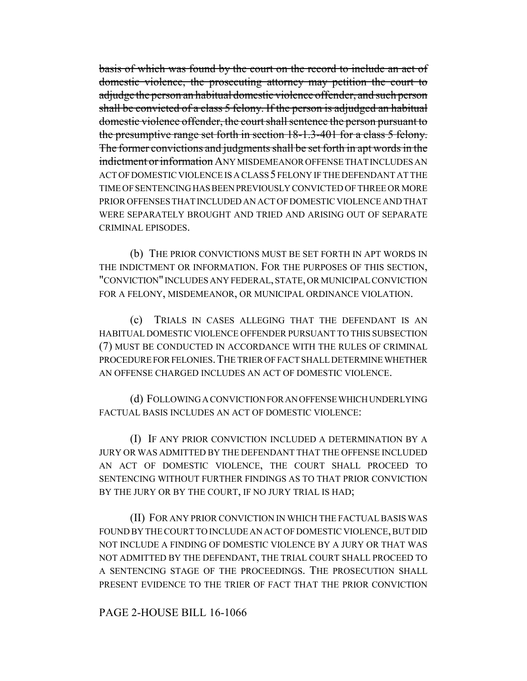basis of which was found by the court on the record to include an act of domestic violence, the prosecuting attorney may petition the court to adjudge the person an habitual domestic violence offender, and such person shall be convicted of a class 5 felony. If the person is adjudged an habitual domestic violence offender, the court shall sentence the person pursuant to the presumptive range set forth in section 18-1.3-401 for a class 5 felony. The former convictions and judgments shall be set forth in apt words in the indictment or information ANY MISDEMEANOR OFFENSE THAT INCLUDES AN ACT OF DOMESTIC VIOLENCE IS A CLASS 5 FELONY IF THE DEFENDANT AT THE TIME OF SENTENCING HAS BEEN PREVIOUSLY CONVICTED OF THREE OR MORE PRIOR OFFENSES THAT INCLUDED AN ACT OF DOMESTIC VIOLENCE AND THAT WERE SEPARATELY BROUGHT AND TRIED AND ARISING OUT OF SEPARATE CRIMINAL EPISODES.

(b) THE PRIOR CONVICTIONS MUST BE SET FORTH IN APT WORDS IN THE INDICTMENT OR INFORMATION. FOR THE PURPOSES OF THIS SECTION, "CONVICTION" INCLUDES ANY FEDERAL, STATE, OR MUNICIPAL CONVICTION FOR A FELONY, MISDEMEANOR, OR MUNICIPAL ORDINANCE VIOLATION.

(c) TRIALS IN CASES ALLEGING THAT THE DEFENDANT IS AN HABITUAL DOMESTIC VIOLENCE OFFENDER PURSUANT TO THIS SUBSECTION (7) MUST BE CONDUCTED IN ACCORDANCE WITH THE RULES OF CRIMINAL PROCEDURE FOR FELONIES.THE TRIER OF FACT SHALL DETERMINE WHETHER AN OFFENSE CHARGED INCLUDES AN ACT OF DOMESTIC VIOLENCE.

(d) FOLLOWING A CONVICTION FOR AN OFFENSE WHICH UNDERLYING FACTUAL BASIS INCLUDES AN ACT OF DOMESTIC VIOLENCE:

(I) IF ANY PRIOR CONVICTION INCLUDED A DETERMINATION BY A JURY OR WAS ADMITTED BY THE DEFENDANT THAT THE OFFENSE INCLUDED AN ACT OF DOMESTIC VIOLENCE, THE COURT SHALL PROCEED TO SENTENCING WITHOUT FURTHER FINDINGS AS TO THAT PRIOR CONVICTION BY THE JURY OR BY THE COURT, IF NO JURY TRIAL IS HAD;

(II) FOR ANY PRIOR CONVICTION IN WHICH THE FACTUAL BASIS WAS FOUND BY THE COURT TO INCLUDE AN ACT OF DOMESTIC VIOLENCE, BUT DID NOT INCLUDE A FINDING OF DOMESTIC VIOLENCE BY A JURY OR THAT WAS NOT ADMITTED BY THE DEFENDANT, THE TRIAL COURT SHALL PROCEED TO A SENTENCING STAGE OF THE PROCEEDINGS. THE PROSECUTION SHALL PRESENT EVIDENCE TO THE TRIER OF FACT THAT THE PRIOR CONVICTION

## PAGE 2-HOUSE BILL 16-1066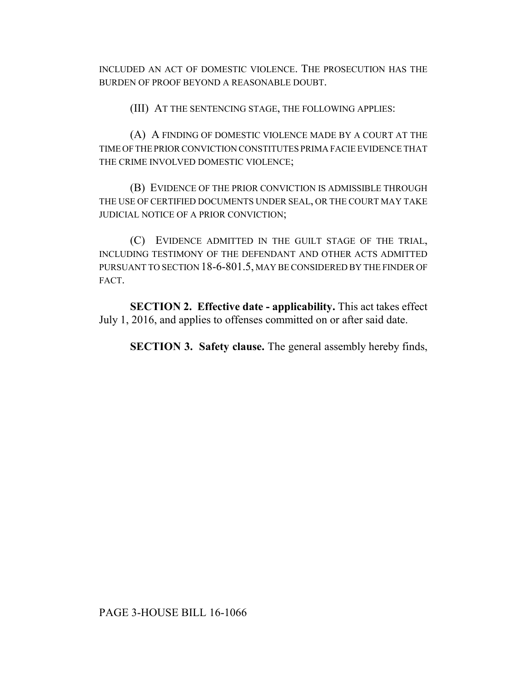INCLUDED AN ACT OF DOMESTIC VIOLENCE. THE PROSECUTION HAS THE BURDEN OF PROOF BEYOND A REASONABLE DOUBT.

(III) AT THE SENTENCING STAGE, THE FOLLOWING APPLIES:

(A) A FINDING OF DOMESTIC VIOLENCE MADE BY A COURT AT THE TIME OF THE PRIOR CONVICTION CONSTITUTES PRIMA FACIE EVIDENCE THAT THE CRIME INVOLVED DOMESTIC VIOLENCE;

(B) EVIDENCE OF THE PRIOR CONVICTION IS ADMISSIBLE THROUGH THE USE OF CERTIFIED DOCUMENTS UNDER SEAL, OR THE COURT MAY TAKE JUDICIAL NOTICE OF A PRIOR CONVICTION;

(C) EVIDENCE ADMITTED IN THE GUILT STAGE OF THE TRIAL, INCLUDING TESTIMONY OF THE DEFENDANT AND OTHER ACTS ADMITTED PURSUANT TO SECTION 18-6-801.5, MAY BE CONSIDERED BY THE FINDER OF FACT.

**SECTION 2. Effective date - applicability.** This act takes effect July 1, 2016, and applies to offenses committed on or after said date.

**SECTION 3. Safety clause.** The general assembly hereby finds,